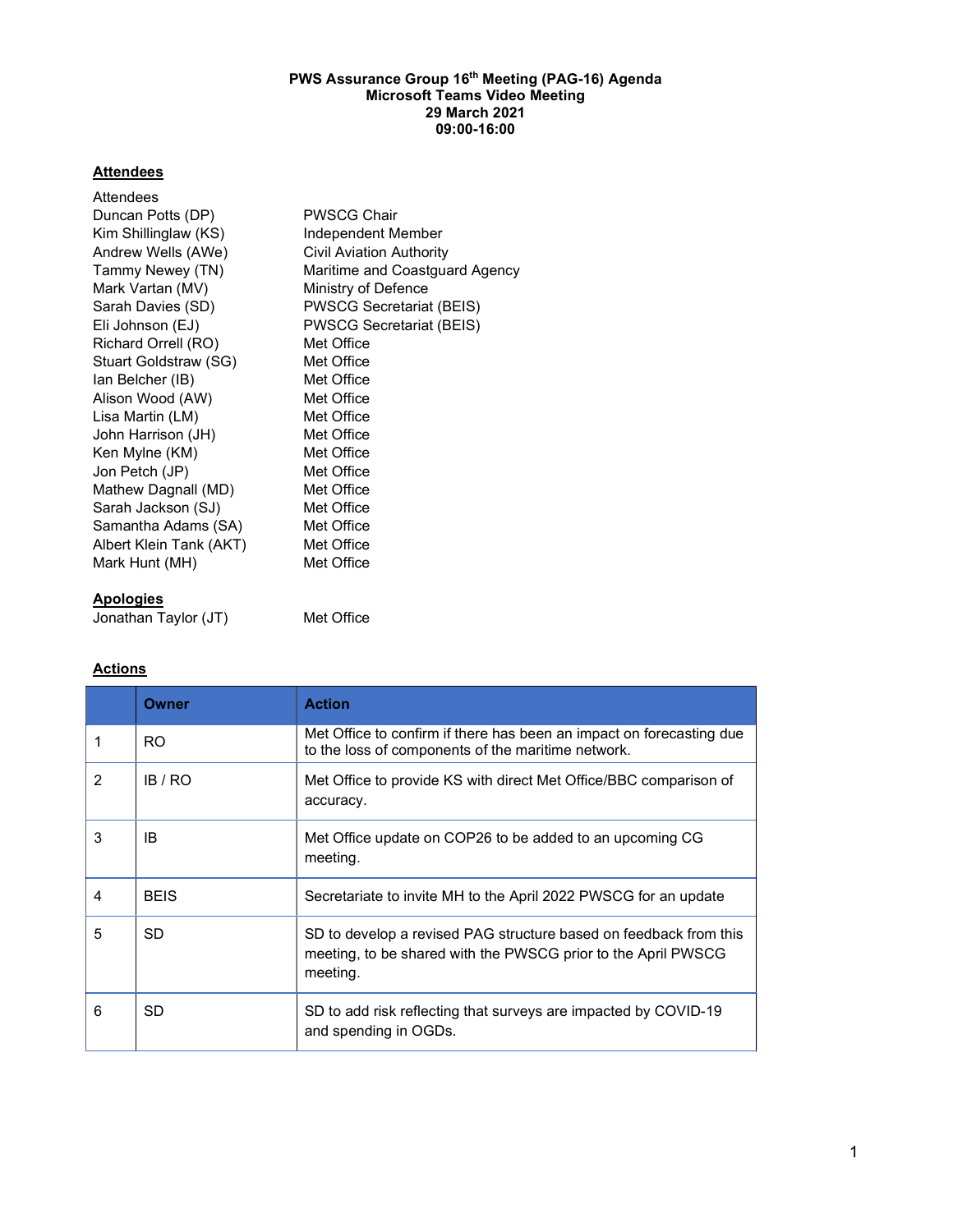#### PWS Assurance Group 16<sup>th</sup> Meeting (PAG-16) Agenda Microsoft Teams Video Meeting 29 March 2021 09:00-16:00

# **Attendees**

| Attendees               |                                 |
|-------------------------|---------------------------------|
| Duncan Potts (DP)       | <b>PWSCG Chair</b>              |
| Kim Shillinglaw (KS)    | Independent Member              |
| Andrew Wells (AWe)      | Civil Aviation Authority        |
| Tammy Newey (TN)        | Maritime and Coastguard Agency  |
| Mark Vartan (MV)        | Ministry of Defence             |
| Sarah Davies (SD)       | <b>PWSCG Secretariat (BEIS)</b> |
| Eli Johnson (EJ)        | <b>PWSCG Secretariat (BEIS)</b> |
| Richard Orrell (RO)     | Met Office                      |
| Stuart Goldstraw (SG)   | Met Office                      |
| lan Belcher (IB)        | Met Office                      |
| Alison Wood (AW)        | Met Office                      |
| Lisa Martin (LM)        | Met Office                      |
| John Harrison (JH)      | Met Office                      |
| Ken Mylne (KM)          | Met Office                      |
| Jon Petch (JP)          | Met Office                      |
| Mathew Dagnall (MD)     | Met Office                      |
| Sarah Jackson (SJ)      | Met Office                      |
| Samantha Adams (SA)     | Met Office                      |
| Albert Klein Tank (AKT) | Met Office                      |
| Mark Hunt (MH)          | Met Office                      |
|                         |                                 |

# Apologies

Jonathan Taylor (JT) Met Office

# **Actions**

|               | Owner       | <b>Action</b>                                                                                                                                  |
|---------------|-------------|------------------------------------------------------------------------------------------------------------------------------------------------|
|               | RO.         | Met Office to confirm if there has been an impact on forecasting due<br>to the loss of components of the maritime network.                     |
| $\mathcal{P}$ | IB / RO     | Met Office to provide KS with direct Met Office/BBC comparison of<br>accuracy.                                                                 |
| 3             | IB          | Met Office update on COP26 to be added to an upcoming CG<br>meeting.                                                                           |
| 4             | <b>BEIS</b> | Secretariate to invite MH to the April 2022 PWSCG for an update                                                                                |
| 5             | SD.         | SD to develop a revised PAG structure based on feedback from this<br>meeting, to be shared with the PWSCG prior to the April PWSCG<br>meeting. |
| 6             | SD          | SD to add risk reflecting that surveys are impacted by COVID-19<br>and spending in OGDs.                                                       |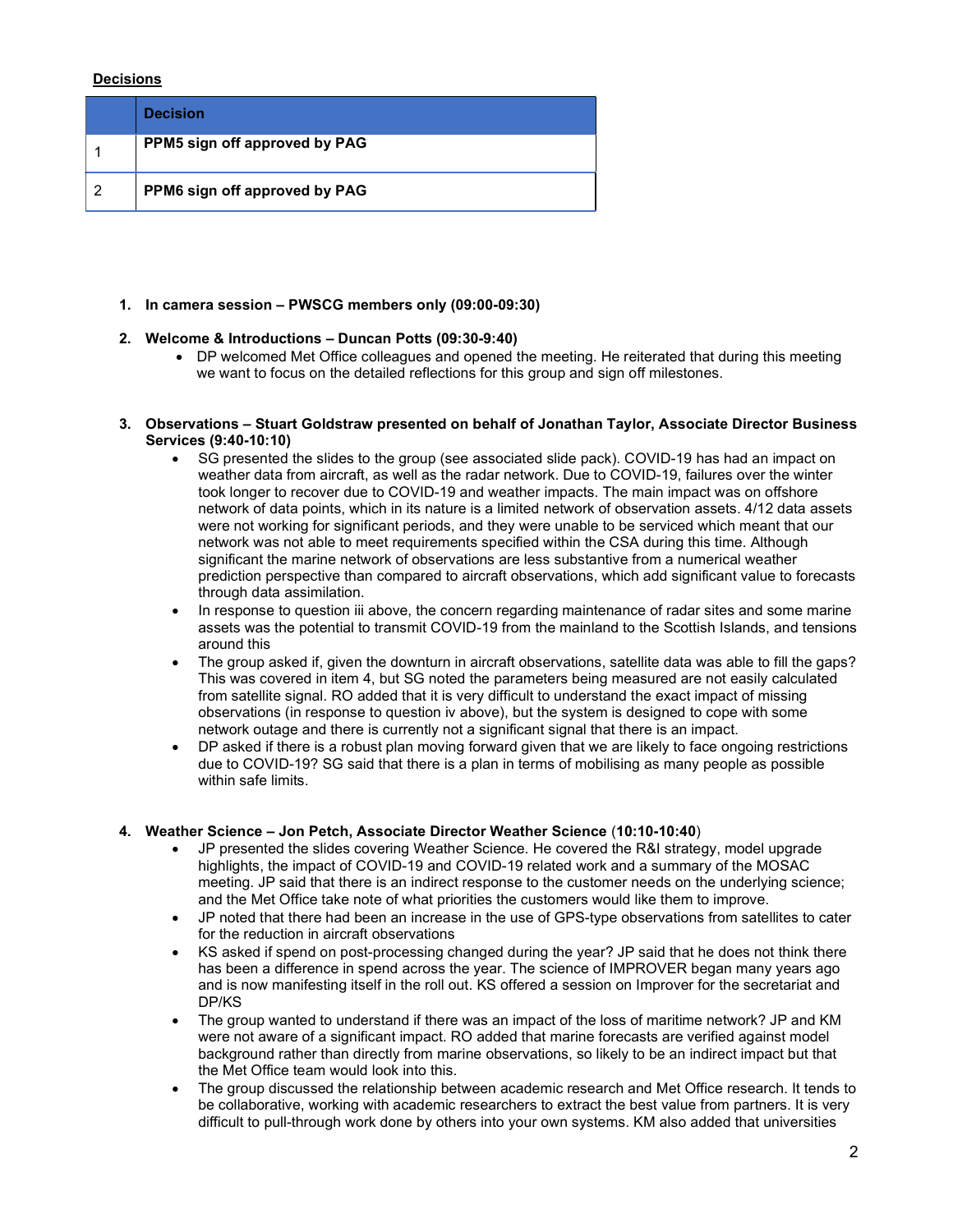# Decisions

| <b>Decision</b>               |
|-------------------------------|
| PPM5 sign off approved by PAG |
| PPM6 sign off approved by PAG |

### 1. In camera session – PWSCG members only (09:00-09:30)

### 2. Welcome & Introductions – Duncan Potts (09:30-9:40)

• DP welcomed Met Office colleagues and opened the meeting. He reiterated that during this meeting we want to focus on the detailed reflections for this group and sign off milestones.

### 3. Observations – Stuart Goldstraw presented on behalf of Jonathan Taylor, Associate Director Business Services (9:40-10:10)

- SG presented the slides to the group (see associated slide pack). COVID-19 has had an impact on weather data from aircraft, as well as the radar network. Due to COVID-19, failures over the winter took longer to recover due to COVID-19 and weather impacts. The main impact was on offshore network of data points, which in its nature is a limited network of observation assets. 4/12 data assets were not working for significant periods, and they were unable to be serviced which meant that our network was not able to meet requirements specified within the CSA during this time. Although significant the marine network of observations are less substantive from a numerical weather prediction perspective than compared to aircraft observations, which add significant value to forecasts through data assimilation.
- In response to question iii above, the concern regarding maintenance of radar sites and some marine assets was the potential to transmit COVID-19 from the mainland to the Scottish Islands, and tensions around this
- The group asked if, given the downturn in aircraft observations, satellite data was able to fill the gaps? This was covered in item 4, but SG noted the parameters being measured are not easily calculated from satellite signal. RO added that it is very difficult to understand the exact impact of missing observations (in response to question iv above), but the system is designed to cope with some network outage and there is currently not a significant signal that there is an impact.
- DP asked if there is a robust plan moving forward given that we are likely to face ongoing restrictions due to COVID-19? SG said that there is a plan in terms of mobilising as many people as possible within safe limits.

# 4. Weather Science – Jon Petch, Associate Director Weather Science (10:10-10:40)

- JP presented the slides covering Weather Science. He covered the R&I strategy, model upgrade highlights, the impact of COVID-19 and COVID-19 related work and a summary of the MOSAC meeting. JP said that there is an indirect response to the customer needs on the underlying science; and the Met Office take note of what priorities the customers would like them to improve.
- JP noted that there had been an increase in the use of GPS-type observations from satellites to cater for the reduction in aircraft observations
- KS asked if spend on post-processing changed during the year? JP said that he does not think there has been a difference in spend across the year. The science of IMPROVER began many years ago and is now manifesting itself in the roll out. KS offered a session on Improver for the secretariat and DP/KS
- The group wanted to understand if there was an impact of the loss of maritime network? JP and KM were not aware of a significant impact. RO added that marine forecasts are verified against model background rather than directly from marine observations, so likely to be an indirect impact but that the Met Office team would look into this.
- The group discussed the relationship between academic research and Met Office research. It tends to be collaborative, working with academic researchers to extract the best value from partners. It is very difficult to pull-through work done by others into your own systems. KM also added that universities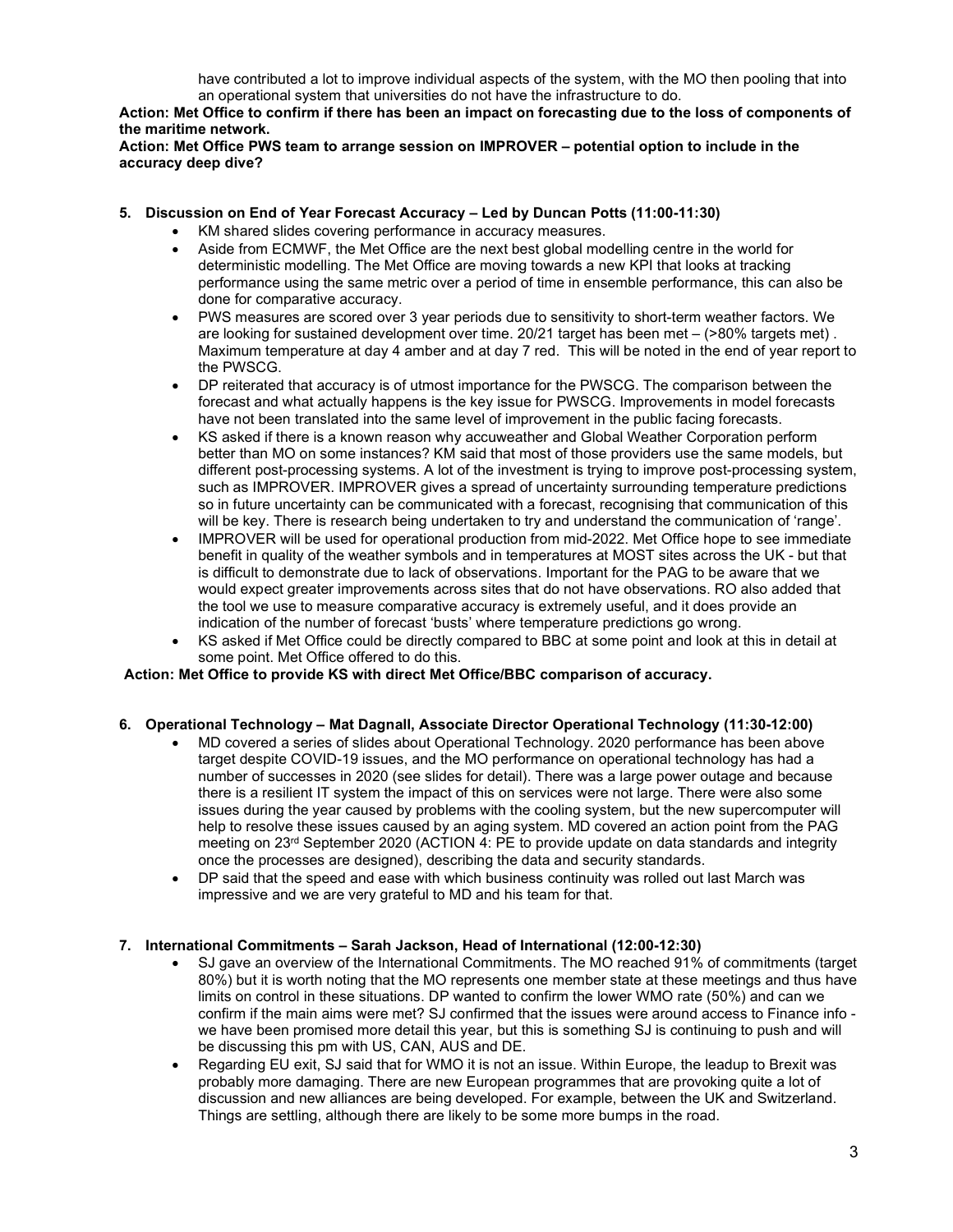have contributed a lot to improve individual aspects of the system, with the MO then pooling that into an operational system that universities do not have the infrastructure to do.

Action: Met Office to confirm if there has been an impact on forecasting due to the loss of components of the maritime network.

Action: Met Office PWS team to arrange session on IMPROVER – potential option to include in the accuracy deep dive?

# 5. Discussion on End of Year Forecast Accuracy – Led by Duncan Potts (11:00-11:30)

- KM shared slides covering performance in accuracy measures.
- Aside from ECMWF, the Met Office are the next best global modelling centre in the world for deterministic modelling. The Met Office are moving towards a new KPI that looks at tracking performance using the same metric over a period of time in ensemble performance, this can also be done for comparative accuracy.
- PWS measures are scored over 3 year periods due to sensitivity to short-term weather factors. We are looking for sustained development over time. 20/21 target has been met – (>80% targets met) . Maximum temperature at day 4 amber and at day 7 red. This will be noted in the end of year report to the PWSCG.
- DP reiterated that accuracy is of utmost importance for the PWSCG. The comparison between the forecast and what actually happens is the key issue for PWSCG. Improvements in model forecasts have not been translated into the same level of improvement in the public facing forecasts.
- KS asked if there is a known reason why accuweather and Global Weather Corporation perform better than MO on some instances? KM said that most of those providers use the same models, but different post-processing systems. A lot of the investment is trying to improve post-processing system, such as IMPROVER. IMPROVER gives a spread of uncertainty surrounding temperature predictions so in future uncertainty can be communicated with a forecast, recognising that communication of this will be key. There is research being undertaken to try and understand the communication of 'range'.
- IMPROVER will be used for operational production from mid-2022. Met Office hope to see immediate benefit in quality of the weather symbols and in temperatures at MOST sites across the UK - but that is difficult to demonstrate due to lack of observations. Important for the PAG to be aware that we would expect greater improvements across sites that do not have observations. RO also added that the tool we use to measure comparative accuracy is extremely useful, and it does provide an indication of the number of forecast 'busts' where temperature predictions go wrong.
- KS asked if Met Office could be directly compared to BBC at some point and look at this in detail at some point. Met Office offered to do this.

# Action: Met Office to provide KS with direct Met Office/BBC comparison of accuracy.

# 6. Operational Technology – Mat Dagnall, Associate Director Operational Technology (11:30-12:00)

- MD covered a series of slides about Operational Technology. 2020 performance has been above target despite COVID-19 issues, and the MO performance on operational technology has had a number of successes in 2020 (see slides for detail). There was a large power outage and because there is a resilient IT system the impact of this on services were not large. There were also some issues during the year caused by problems with the cooling system, but the new supercomputer will help to resolve these issues caused by an aging system. MD covered an action point from the PAG meeting on 23rd September 2020 (ACTION 4: PE to provide update on data standards and integrity once the processes are designed), describing the data and security standards.
- DP said that the speed and ease with which business continuity was rolled out last March was impressive and we are very grateful to MD and his team for that.

# 7. International Commitments – Sarah Jackson, Head of International (12:00-12:30)

- SJ gave an overview of the International Commitments. The MO reached 91% of commitments (target 80%) but it is worth noting that the MO represents one member state at these meetings and thus have limits on control in these situations. DP wanted to confirm the lower WMO rate (50%) and can we confirm if the main aims were met? SJ confirmed that the issues were around access to Finance info we have been promised more detail this year, but this is something SJ is continuing to push and will be discussing this pm with US, CAN, AUS and DE.
- Regarding EU exit, SJ said that for WMO it is not an issue. Within Europe, the leadup to Brexit was probably more damaging. There are new European programmes that are provoking quite a lot of discussion and new alliances are being developed. For example, between the UK and Switzerland. Things are settling, although there are likely to be some more bumps in the road.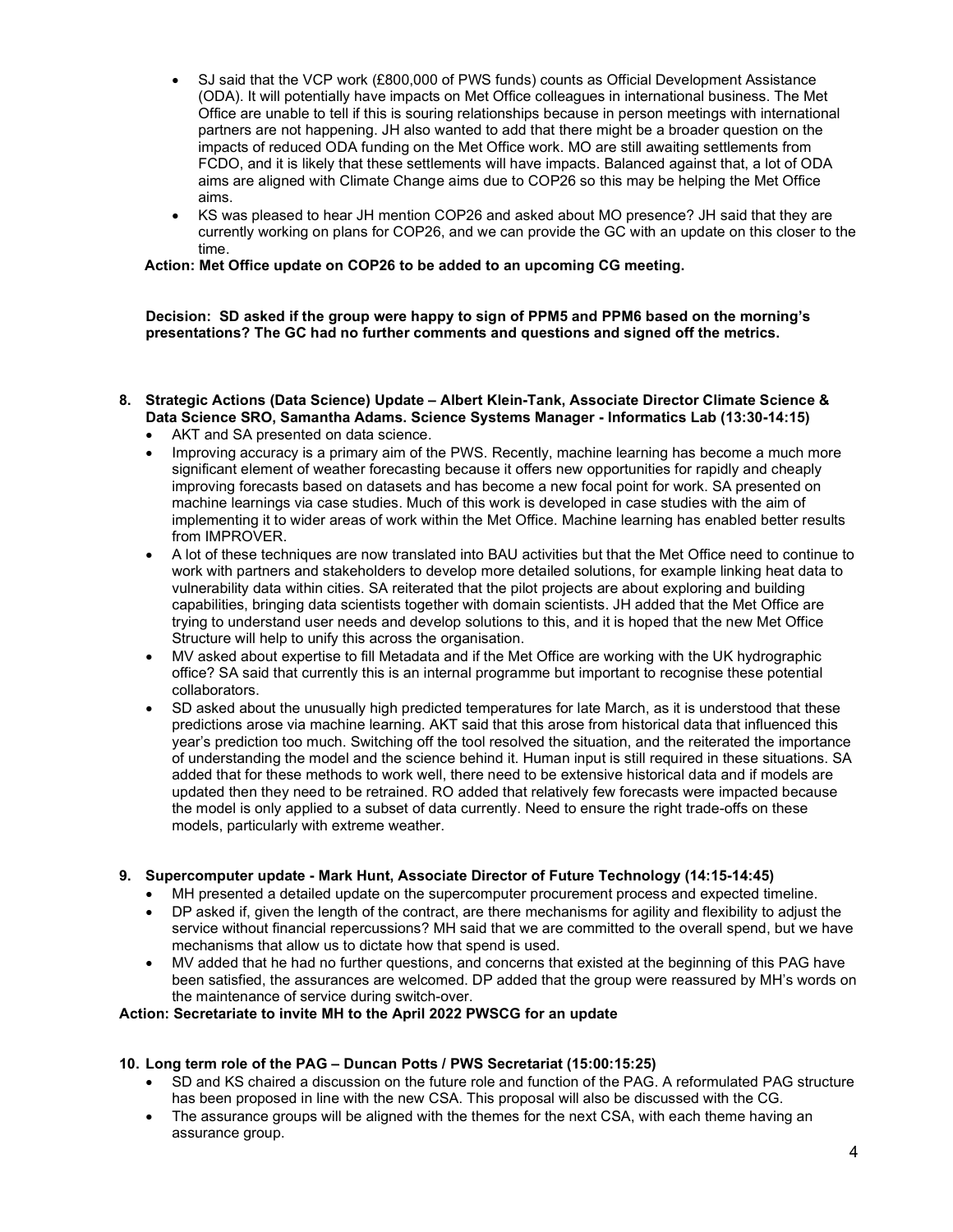- SJ said that the VCP work (£800,000 of PWS funds) counts as Official Development Assistance (ODA). It will potentially have impacts on Met Office colleagues in international business. The Met Office are unable to tell if this is souring relationships because in person meetings with international partners are not happening. JH also wanted to add that there might be a broader question on the impacts of reduced ODA funding on the Met Office work. MO are still awaiting settlements from FCDO, and it is likely that these settlements will have impacts. Balanced against that, a lot of ODA aims are aligned with Climate Change aims due to COP26 so this may be helping the Met Office aims.
- KS was pleased to hear JH mention COP26 and asked about MO presence? JH said that they are currently working on plans for COP26, and we can provide the GC with an update on this closer to the time.

Action: Met Office update on COP26 to be added to an upcoming CG meeting.

Decision: SD asked if the group were happy to sign of PPM5 and PPM6 based on the morning's presentations? The GC had no further comments and questions and signed off the metrics.

- 8. Strategic Actions (Data Science) Update Albert Klein-Tank, Associate Director Climate Science & Data Science SRO, Samantha Adams. Science Systems Manager - Informatics Lab (13:30-14:15)
	- AKT and SA presented on data science.
	- Improving accuracy is a primary aim of the PWS. Recently, machine learning has become a much more significant element of weather forecasting because it offers new opportunities for rapidly and cheaply improving forecasts based on datasets and has become a new focal point for work. SA presented on machine learnings via case studies. Much of this work is developed in case studies with the aim of implementing it to wider areas of work within the Met Office. Machine learning has enabled better results from IMPROVER.
	- A lot of these techniques are now translated into BAU activities but that the Met Office need to continue to work with partners and stakeholders to develop more detailed solutions, for example linking heat data to vulnerability data within cities. SA reiterated that the pilot projects are about exploring and building capabilities, bringing data scientists together with domain scientists. JH added that the Met Office are trying to understand user needs and develop solutions to this, and it is hoped that the new Met Office Structure will help to unify this across the organisation.
	- MV asked about expertise to fill Metadata and if the Met Office are working with the UK hydrographic office? SA said that currently this is an internal programme but important to recognise these potential collaborators.
	- SD asked about the unusually high predicted temperatures for late March, as it is understood that these predictions arose via machine learning. AKT said that this arose from historical data that influenced this year's prediction too much. Switching off the tool resolved the situation, and the reiterated the importance of understanding the model and the science behind it. Human input is still required in these situations. SA added that for these methods to work well, there need to be extensive historical data and if models are updated then they need to be retrained. RO added that relatively few forecasts were impacted because the model is only applied to a subset of data currently. Need to ensure the right trade-offs on these models, particularly with extreme weather.

# 9. Supercomputer update - Mark Hunt, Associate Director of Future Technology (14:15-14:45)

- MH presented a detailed update on the supercomputer procurement process and expected timeline.
- DP asked if, given the length of the contract, are there mechanisms for agility and flexibility to adjust the service without financial repercussions? MH said that we are committed to the overall spend, but we have mechanisms that allow us to dictate how that spend is used.
- MV added that he had no further questions, and concerns that existed at the beginning of this PAG have been satisfied, the assurances are welcomed. DP added that the group were reassured by MH's words on the maintenance of service during switch-over.

# Action: Secretariate to invite MH to the April 2022 PWSCG for an update

# 10. Long term role of the PAG – Duncan Potts / PWS Secretariat (15:00:15:25)

- SD and KS chaired a discussion on the future role and function of the PAG. A reformulated PAG structure has been proposed in line with the new CSA. This proposal will also be discussed with the CG.
- The assurance groups will be aligned with the themes for the next CSA, with each theme having an assurance group.